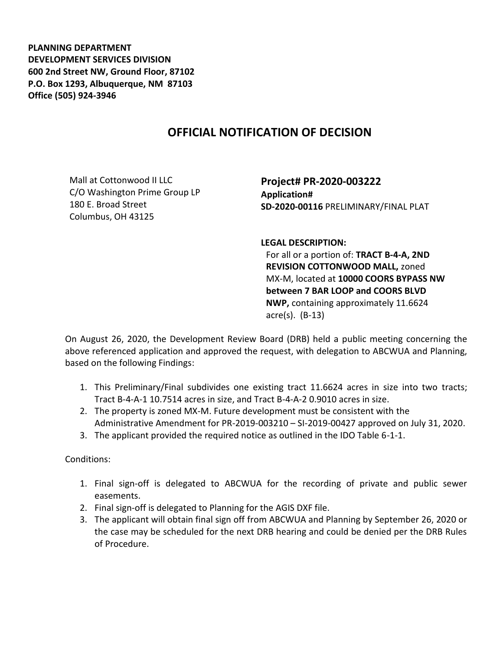**PLANNING DEPARTMENT DEVELOPMENT SERVICES DIVISION 600 2nd Street NW, Ground Floor, 87102 P.O. Box 1293, Albuquerque, NM 87103 Office (505) 924-3946** 

## **OFFICIAL NOTIFICATION OF DECISION**

Mall at Cottonwood II LLC C/O Washington Prime Group LP 180 E. Broad Street Columbus, OH 43125

**Project# PR-2020-003222 Application# SD-2020-00116** PRELIMINARY/FINAL PLAT

**LEGAL DESCRIPTION:**

For all or a portion of: **TRACT B-4-A, 2ND REVISION COTTONWOOD MALL,** zoned MX-M, located at **10000 COORS BYPASS NW between 7 BAR LOOP and COORS BLVD NWP,** containing approximately 11.6624 acre(s). (B-13)

On August 26, 2020, the Development Review Board (DRB) held a public meeting concerning the above referenced application and approved the request, with delegation to ABCWUA and Planning, based on the following Findings:

- 1. This Preliminary/Final subdivides one existing tract 11.6624 acres in size into two tracts; Tract B-4-A-1 10.7514 acres in size, and Tract B-4-A-2 0.9010 acres in size.
- 2. The property is zoned MX-M. Future development must be consistent with the Administrative Amendment for PR-2019-003210 – SI-2019-00427 approved on July 31, 2020.
- 3. The applicant provided the required notice as outlined in the IDO Table 6-1-1.

Conditions:

- 1. Final sign-off is delegated to ABCWUA for the recording of private and public sewer easements.
- 2. Final sign-off is delegated to Planning for the AGIS DXF file.
- 3. The applicant will obtain final sign off from ABCWUA and Planning by September 26, 2020 or the case may be scheduled for the next DRB hearing and could be denied per the DRB Rules of Procedure.